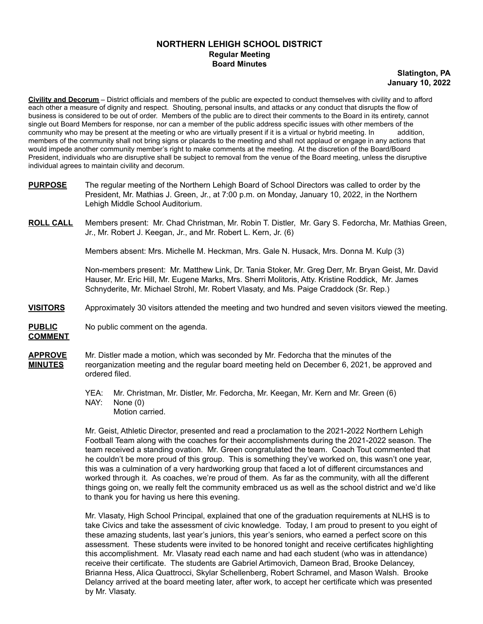## **NORTHERN LEHIGH SCHOOL DISTRICT Regular Meeting Board Minutes**

## **Slatington, PA January 10, 2022**

**Civility and Decorum** – District officials and members of the public are expected to conduct themselves with civility and to afford each other a measure of dignity and respect. Shouting, personal insults, and attacks or any conduct that disrupts the flow of business is considered to be out of order. Members of the public are to direct their comments to the Board in its entirety, cannot single out Board Members for response, nor can a member of the public address specific issues with other members of the community who may be present at the meeting or who are virtually present if it is a virtual or hybrid meeting. In addition, members of the community shall not bring signs or placards to the meeting and shall not applaud or engage in any actions that would impede another community member's right to make comments at the meeting. At the discretion of the Board/Board President, individuals who are disruptive shall be subject to removal from the venue of the Board meeting, unless the disruptive individual agrees to maintain civility and decorum.

- **PURPOSE** The regular meeting of the Northern Lehigh Board of School Directors was called to order by the President, Mr. Mathias J. Green, Jr., at 7:00 p.m. on Monday, January 10, 2022, in the Northern Lehigh Middle School Auditorium.
- **ROLL CALL** Members present: Mr. Chad Christman, Mr. Robin T. Distler, Mr. Gary S. Fedorcha, Mr. Mathias Green, Jr., Mr. Robert J. Keegan, Jr., and Mr. Robert L. Kern, Jr. (6)

Members absent: Mrs. Michelle M. Heckman, Mrs. Gale N. Husack, Mrs. Donna M. Kulp (3)

Non-members present: Mr. Matthew Link, Dr. Tania Stoker, Mr. Greg Derr, Mr. Bryan Geist, Mr. David Hauser, Mr. Eric Hill, Mr. Eugene Marks, Mrs. Sherri Molitoris, Atty. Kristine Roddick, Mr. James Schnyderite, Mr. Michael Strohl, Mr. Robert Vlasaty, and Ms. Paige Craddock (Sr. Rep.)

- **VISITORS** Approximately 30 visitors attended the meeting and two hundred and seven visitors viewed the meeting.
- **PUBLIC** No public comment on the agenda. **COMMENT**
- **APPROVE** Mr. Distler made a motion, which was seconded by Mr. Fedorcha that the minutes of the **MINUTES** reorganization meeting and the regular board meeting held on December 6, 2021, be approved and ordered filed.

YEA: Mr. Christman, Mr. Distler, Mr. Fedorcha, Mr. Keegan, Mr. Kern and Mr. Green (6) NAY: None (0) Motion carried.

Mr. Geist, Athletic Director, presented and read a proclamation to the 2021-2022 Northern Lehigh Football Team along with the coaches for their accomplishments during the 2021-2022 season. The team received a standing ovation. Mr. Green congratulated the team. Coach Tout commented that he couldn't be more proud of this group. This is something they've worked on, this wasn't one year, this was a culmination of a very hardworking group that faced a lot of different circumstances and worked through it. As coaches, we're proud of them. As far as the community, with all the different things going on, we really felt the community embraced us as well as the school district and we'd like to thank you for having us here this evening.

Mr. Vlasaty, High School Principal, explained that one of the graduation requirements at NLHS is to take Civics and take the assessment of civic knowledge. Today, I am proud to present to you eight of these amazing students, last year's juniors, this year's seniors, who earned a perfect score on this assessment. These students were invited to be honored tonight and receive certificates highlighting this accomplishment. Mr. Vlasaty read each name and had each student (who was in attendance) receive their certificate. The students are Gabriel Artimovich, Dameon Brad, Brooke Delancey, Brianna Hess, Alica Quattrocci, Skylar Schellenberg, Robert Schramel, and Mason Walsh. Brooke Delancy arrived at the board meeting later, after work, to accept her certificate which was presented by Mr. Vlasaty.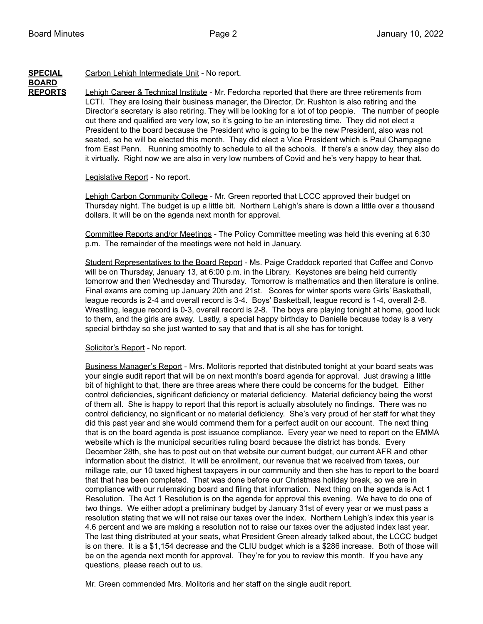## **SPECIAL** Carbon Lehigh Intermediate Unit - No report.

## **BOARD**

**REPORTS** Lehigh Career & Technical Institute - Mr. Fedorcha reported that there are three retirements from LCTI. They are losing their business manager, the Director, Dr. Rushton is also retiring and the Director's secretary is also retiring. They will be looking for a lot of top people. The number of people out there and qualified are very low, so it's going to be an interesting time. They did not elect a President to the board because the President who is going to be the new President, also was not seated, so he will be elected this month. They did elect a Vice President which is Paul Champagne from East Penn. Running smoothly to schedule to all the schools. If there's a snow day, they also do it virtually. Right now we are also in very low numbers of Covid and he's very happy to hear that.

## Legislative Report - No report.

Lehigh Carbon Community College - Mr. Green reported that LCCC approved their budget on Thursday night. The budget is up a little bit. Northern Lehigh's share is down a little over a thousand dollars. It will be on the agenda next month for approval.

Committee Reports and/or Meetings - The Policy Committee meeting was held this evening at 6:30 p.m. The remainder of the meetings were not held in January.

Student Representatives to the Board Report - Ms. Paige Craddock reported that Coffee and Convo will be on Thursday, January 13, at 6:00 p.m. in the Library. Keystones are being held currently tomorrow and then Wednesday and Thursday. Tomorrow is mathematics and then literature is online. Final exams are coming up January 20th and 21st. Scores for winter sports were Girls' Basketball, league records is 2-4 and overall record is 3-4. Boys' Basketball, league record is 1-4, overall 2-8. Wrestling, league record is 0-3, overall record is 2-8. The boys are playing tonight at home, good luck to them, and the girls are away. Lastly, a special happy birthday to Danielle because today is a very special birthday so she just wanted to say that and that is all she has for tonight.

## Solicitor's Report - No report.

Business Manager's Report - Mrs. Molitoris reported that distributed tonight at your board seats was your single audit report that will be on next month's board agenda for approval. Just drawing a little bit of highlight to that, there are three areas where there could be concerns for the budget. Either control deficiencies, significant deficiency or material deficiency. Material deficiency being the worst of them all. She is happy to report that this report is actually absolutely no findings. There was no control deficiency, no significant or no material deficiency. She's very proud of her staff for what they did this past year and she would commend them for a perfect audit on our account. The next thing that is on the board agenda is post issuance compliance. Every year we need to report on the EMMA website which is the municipal securities ruling board because the district has bonds. Every December 28th, she has to post out on that website our current budget, our current AFR and other information about the district. It will be enrollment, our revenue that we received from taxes, our millage rate, our 10 taxed highest taxpayers in our community and then she has to report to the board that that has been completed. That was done before our Christmas holiday break, so we are in compliance with our rulemaking board and filing that information. Next thing on the agenda is Act 1 Resolution. The Act 1 Resolution is on the agenda for approval this evening. We have to do one of two things. We either adopt a preliminary budget by January 31st of every year or we must pass a resolution stating that we will not raise our taxes over the index. Northern Lehigh's index this year is 4.6 percent and we are making a resolution not to raise our taxes over the adjusted index last year. The last thing distributed at your seats, what President Green already talked about, the LCCC budget is on there. It is a \$1,154 decrease and the CLIU budget which is a \$286 increase. Both of those will be on the agenda next month for approval. They're for you to review this month. If you have any questions, please reach out to us.

Mr. Green commended Mrs. Molitoris and her staff on the single audit report.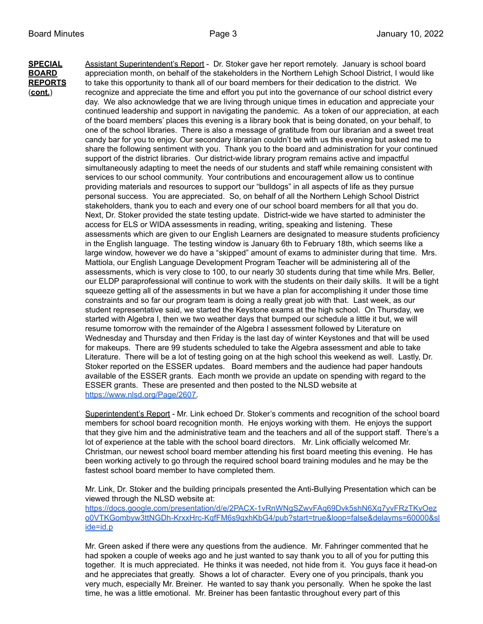**SPECIAL** Assistant Superintendent's Report - Dr. Stoker gave her report remotely. January is school board **BOARD** appreciation month, on behalf of the stakeholders in the Northern Lehigh School District, I would like **REPORTS** to take this opportunity to thank all of our board members for their dedication to the district. We (**cont.**) recognize and appreciate the time and effort you put into the governance of our school district every day. We also acknowledge that we are living through unique times in education and appreciate your continued leadership and support in navigating the pandemic. As a token of our appreciation, at each of the board members' places this evening is a library book that is being donated, on your behalf, to one of the school libraries. There is also a message of gratitude from our librarian and a sweet treat candy bar for you to enjoy. Our secondary librarian couldn't be with us this evening but asked me to share the following sentiment with you. Thank you to the board and administration for your continued support of the district libraries. Our district-wide library program remains active and impactful simultaneously adapting to meet the needs of our students and staff while remaining consistent with services to our school community. Your contributions and encouragement allow us to continue providing materials and resources to support our "bulldogs" in all aspects of life as they pursue personal success. You are appreciated. So, on behalf of all the Northern Lehigh School District stakeholders, thank you to each and every one of our school board members for all that you do. Next, Dr. Stoker provided the state testing update. District-wide we have started to administer the access for ELS or WIDA assessments in reading, writing, speaking and listening. These assessments which are given to our English Learners are designated to measure students proficiency in the English language. The testing window is January 6th to February 18th, which seems like a large window, however we do have a "skipped" amount of exams to administer during that time. Mrs. Mattiola, our English Language Development Program Teacher will be administering all of the assessments, which is very close to 100, to our nearly 30 students during that time while Mrs. Beller, our ELDP paraprofessional will continue to work with the students on their daily skills. It will be a tight squeeze getting all of the assessments in but we have a plan for accomplishing it under those time constraints and so far our program team is doing a really great job with that. Last week, as our student representative said, we started the Keystone exams at the high school. On Thursday, we started with Algebra I, then we two weather days that bumped our schedule a little it but, we will resume tomorrow with the remainder of the Algebra I assessment followed by Literature on Wednesday and Thursday and then Friday is the last day of winter Keystones and that will be used for makeups. There are 99 students scheduled to take the Algebra assessment and able to take Literature. There will be a lot of testing going on at the high school this weekend as well. Lastly, Dr. Stoker reported on the ESSER updates. Board members and the audience had paper handouts available of the ESSER grants. Each month we provide an update on spending with regard to the ESSER grants. These are presented and then posted to the NLSD website at [https://www.nlsd.org/Page/2607.](https://www.nlsd.org/Page/2607)

> Superintendent's Report - Mr. Link echoed Dr. Stoker's comments and recognition of the school board members for school board recognition month. He enjoys working with them. He enjoys the support that they give him and the administrative team and the teachers and all of the support staff. There's a lot of experience at the table with the school board directors. Mr. Link officially welcomed Mr. Christman, our newest school board member attending his first board meeting this evening. He has been working actively to go through the required school board training modules and he may be the fastest school board member to have completed them.

Mr. Link, Dr. Stoker and the building principals presented the Anti-Bullying Presentation which can be viewed through the NLSD website at:

[https://docs.google.com/presentation/d/e/2PACX-1vRnWNgSZwvFAq69Dvk5shN6Xq7yvFRzTKyOez](https://docs.google.com/presentation/d/e/2PACX-1vRnWNgSZwvFAq69Dvk5shN6Xq7yvFRzTKyOezo0VTKGombyw3ttNGDh-KrxxHrc-KqfFM6s9qxhKbG4/pub?start=true&loop=false&delayms=60000&slide=id.p) [o0VTKGombyw3ttNGDh-KrxxHrc-KqfFM6s9qxhKbG4/pub?start=true&loop=false&delayms=60000&sl](https://docs.google.com/presentation/d/e/2PACX-1vRnWNgSZwvFAq69Dvk5shN6Xq7yvFRzTKyOezo0VTKGombyw3ttNGDh-KrxxHrc-KqfFM6s9qxhKbG4/pub?start=true&loop=false&delayms=60000&slide=id.p) [ide=id.p](https://docs.google.com/presentation/d/e/2PACX-1vRnWNgSZwvFAq69Dvk5shN6Xq7yvFRzTKyOezo0VTKGombyw3ttNGDh-KrxxHrc-KqfFM6s9qxhKbG4/pub?start=true&loop=false&delayms=60000&slide=id.p)

Mr. Green asked if there were any questions from the audience. Mr. Fahringer commented that he had spoken a couple of weeks ago and he just wanted to say thank you to all of you for putting this together. It is much appreciated. He thinks it was needed, not hide from it. You guys face it head-on and he appreciates that greatly. Shows a lot of character. Every one of you principals, thank you very much, especially Mr. Breiner. He wanted to say thank you personally. When he spoke the last time, he was a little emotional. Mr. Breiner has been fantastic throughout every part of this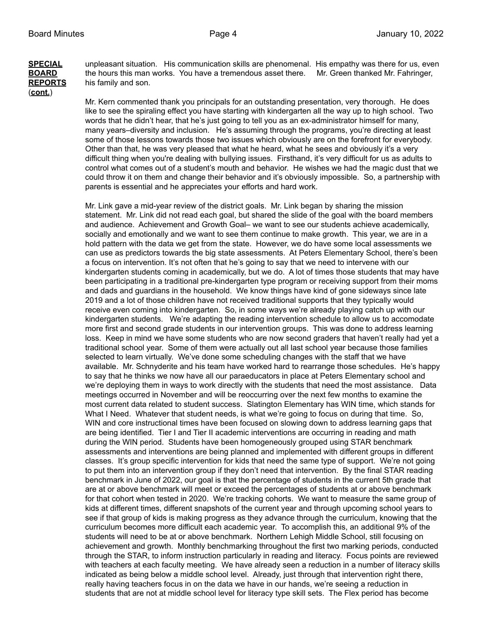# (**cont.**)

**SPECIAL** unpleasant situation. His communication skills are phenomenal. His empathy was there for us, even **BOARD** the hours this man works. You have a tremendous asset there. Mr. Green thanked Mr. Fahringer, **REPORTS** his family and son.

> Mr. Kern commented thank you principals for an outstanding presentation, very thorough. He does like to see the spiraling effect you have starting with kindergarten all the way up to high school. Two words that he didn't hear, that he's just going to tell you as an ex-administrator himself for many, many years–diversity and inclusion. He's assuming through the programs, you're directing at least some of those lessons towards those two issues which obviously are on the forefront for everybody. Other than that, he was very pleased that what he heard, what he sees and obviously it's a very difficult thing when you're dealing with bullying issues. Firsthand, it's very difficult for us as adults to control what comes out of a student's mouth and behavior. He wishes we had the magic dust that we could throw it on them and change their behavior and it's obviously impossible. So, a partnership with parents is essential and he appreciates your efforts and hard work.

> Mr. Link gave a mid-year review of the district goals. Mr. Link began by sharing the mission statement. Mr. Link did not read each goal, but shared the slide of the goal with the board members and audience. Achievement and Growth Goal– we want to see our students achieve academically, socially and emotionally and we want to see them continue to make growth. This year, we are in a hold pattern with the data we get from the state. However, we do have some local assessments we can use as predictors towards the big state assessments. At Peters Elementary School, there's been a focus on intervention. It's not often that he's going to say that we need to intervene with our kindergarten students coming in academically, but we do. A lot of times those students that may have been participating in a traditional pre-kindergarten type program or receiving support from their moms and dads and guardians in the household. We know things have kind of gone sideways since late 2019 and a lot of those children have not received traditional supports that they typically would receive even coming into kindergarten. So, in some ways we're already playing catch up with our kindergarten students. We're adapting the reading intervention schedule to allow us to accomodate more first and second grade students in our intervention groups. This was done to address learning loss. Keep in mind we have some students who are now second graders that haven't really had yet a traditional school year. Some of them were actually out all last school year because those families selected to learn virtually. We've done some scheduling changes with the staff that we have available. Mr. Schnyderite and his team have worked hard to rearrange those schedules. He's happy to say that he thinks we now have all our paraeducators in place at Peters Elementary school and we're deploying them in ways to work directly with the students that need the most assistance. Data meetings occurred in November and will be reoccurring over the next few months to examine the most current data related to student success. Slatington Elementary has WIN time, which stands for What I Need. Whatever that student needs, is what we're going to focus on during that time. So, WIN and core instructional times have been focused on slowing down to address learning gaps that are being identified. Tier I and Tier II academic interventions are occurring in reading and math during the WIN period. Students have been homogeneously grouped using STAR benchmark assessments and interventions are being planned and implemented with different groups in different classes. It's group specific intervention for kids that need the same type of support. We're not going to put them into an intervention group if they don't need that intervention. By the final STAR reading benchmark in June of 2022, our goal is that the percentage of students in the current 5th grade that are at or above benchmark will meet or exceed the percentages of students at or above benchmark for that cohort when tested in 2020. We're tracking cohorts. We want to measure the same group of kids at different times, different snapshots of the current year and through upcoming school years to see if that group of kids is making progress as they advance through the curriculum, knowing that the curriculum becomes more difficult each academic year. To accomplish this, an additional 9% of the students will need to be at or above benchmark. Northern Lehigh Middle School, still focusing on achievement and growth. Monthly benchmarking throughout the first two marking periods, conducted through the STAR, to inform instruction particularly in reading and literacy. Focus points are reviewed with teachers at each faculty meeting. We have already seen a reduction in a number of literacy skills indicated as being below a middle school level. Already, just through that intervention right there, really having teachers focus in on the data we have in our hands, we're seeing a reduction in students that are not at middle school level for literacy type skill sets. The Flex period has become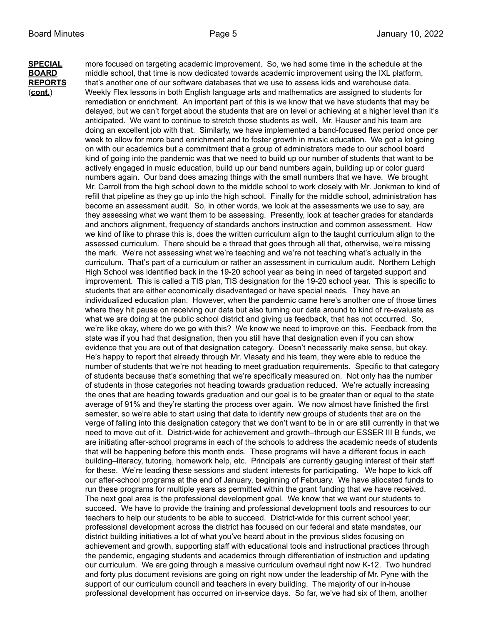**SPECIAL** more focused on targeting academic improvement. So, we had some time in the schedule at the **BOARD** middle school, that time is now dedicated towards academic improvement using the IXL platform, **REPORTS** that's another one of our software databases that we use to assess kids and warehouse data. (**cont.**) Weekly Flex lessons in both English language arts and mathematics are assigned to students for remediation or enrichment. An important part of this is we know that we have students that may be delayed, but we can't forget about the students that are on level or achieving at a higher level than it's anticipated. We want to continue to stretch those students as well. Mr. Hauser and his team are doing an excellent job with that. Similarly, we have implemented a band-focused flex period once per week to allow for more band enrichment and to foster growth in music education. We got a lot going on with our academics but a commitment that a group of administrators made to our school board kind of going into the pandemic was that we need to build up our number of students that want to be actively engaged in music education, build up our band numbers again, building up or color guard numbers again. Our band does amazing things with the small numbers that we have. We brought Mr. Carroll from the high school down to the middle school to work closely with Mr. Jonkman to kind of refill that pipeline as they go up into the high school. Finally for the middle school, administration has become an assessment audit. So, in other words, we look at the assessments we use to say, are they assessing what we want them to be assessing. Presently, look at teacher grades for standards and anchors alignment, frequency of standards anchors instruction and common assessment. How we kind of like to phrase this is, does the written curriculum align to the taught curriculum align to the assessed curriculum. There should be a thread that goes through all that, otherwise, we're missing the mark. We're not assessing what we're teaching and we're not teaching what's actually in the curriculum. That's part of a curriculum or rather an assessment in curriculum audit. Northern Lehigh High School was identified back in the 19-20 school year as being in need of targeted support and improvement. This is called a TIS plan, TIS designation for the 19-20 school year. This is specific to students that are either economically disadvantaged or have special needs. They have an individualized education plan. However, when the pandemic came here's another one of those times where they hit pause on receiving our data but also turning our data around to kind of re-evaluate as what we are doing at the public school district and giving us feedback, that has not occurred. So, we're like okay, where do we go with this? We know we need to improve on this. Feedback from the state was if you had that designation, then you still have that designation even if you can show evidence that you are out of that designation category. Doesn't necessarily make sense, but okay. He's happy to report that already through Mr. Vlasaty and his team, they were able to reduce the number of students that we're not heading to meet graduation requirements. Specific to that category of students because that's something that we're specifically measured on. Not only has the number of students in those categories not heading towards graduation reduced. We're actually increasing the ones that are heading towards graduation and our goal is to be greater than or equal to the state average of 91% and they're starting the process over again. We now almost have finished the first semester, so we're able to start using that data to identify new groups of students that are on the verge of falling into this designation category that we don't want to be in or are still currently in that we need to move out of it. District-wide for achievement and growth–through our ESSER III B funds, we are initiating after-school programs in each of the schools to address the academic needs of students that will be happening before this month ends. These programs will have a different focus in each building–literacy, tutoring, homework help, etc. Principals' are currently gauging interest of their staff for these. We're leading these sessions and student interests for participating. We hope to kick off our after-school programs at the end of January, beginning of February. We have allocated funds to run these programs for multiple years as permitted within the grant funding that we have received. The next goal area is the professional development goal. We know that we want our students to succeed. We have to provide the training and professional development tools and resources to our teachers to help our students to be able to succeed. District-wide for this current school year, professional development across the district has focused on our federal and state mandates, our district building initiatives a lot of what you've heard about in the previous slides focusing on achievement and growth, supporting staff with educational tools and instructional practices through the pandemic, engaging students and academics through differentiation of instruction and updating our curriculum. We are going through a massive curriculum overhaul right now K-12. Two hundred and forty plus document revisions are going on right now under the leadership of Mr. Pyne with the support of our curriculum council and teachers in every building. The majority of our in-house professional development has occurred on in-service days. So far, we've had six of them, another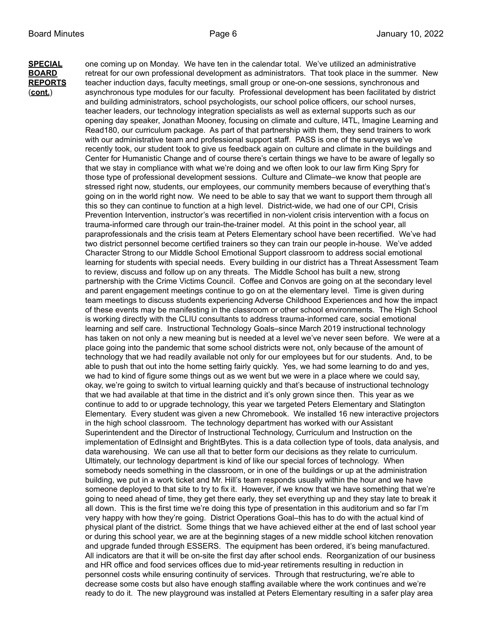**SPECIAL** one coming up on Monday. We have ten in the calendar total. We've utilized an administrative **BOARD** retreat for our own professional development as administrators. That took place in the summer. New **REPORTS** teacher induction days, faculty meetings, small group or one-on-one sessions, synchronous and (**cont.**) asynchronous type modules for our faculty. Professional development has been facilitated by district and building administrators, school psychologists, our school police officers, our school nurses, teacher leaders, our technology integration specialists as well as external supports such as our opening day speaker, Jonathan Mooney, focusing on climate and culture, I4TL, Imagine Learning and Read180, our curriculum package. As part of that partnership with them, they send trainers to work with our administrative team and professional support staff. PASS is one of the surveys we've recently took, our student took to give us feedback again on culture and climate in the buildings and Center for Humanistic Change and of course there's certain things we have to be aware of legally so that we stay in compliance with what we're doing and we often look to our law firm King Spry for those type of professional development sessions. Culture and Climate–we know that people are stressed right now, students, our employees, our community members because of everything that's going on in the world right now. We need to be able to say that we want to support them through all this so they can continue to function at a high level. District-wide, we had one of our CPI, Crisis Prevention Intervention, instructor's was recertified in non-violent crisis intervention with a focus on trauma-informed care through our train-the-trainer model. At this point in the school year, all paraprofessionals and the crisis team at Peters Elementary school have been recertified. We've had two district personnel become certified trainers so they can train our people in-house. We've added Character Strong to our Middle School Emotional Support classroom to address social emotional learning for students with special needs. Every building in our district has a Threat Assessment Team to review, discuss and follow up on any threats. The Middle School has built a new, strong partnership with the Crime Victims Council. Coffee and Convos are going on at the secondary level and parent engagement meetings continue to go on at the elementary level. Time is given during team meetings to discuss students experiencing Adverse Childhood Experiences and how the impact of these events may be manifesting in the classroom or other school environments. The High School is working directly with the CLIU consultants to address trauma-informed care, social emotional learning and self care. Instructional Technology Goals–since March 2019 instructional technology has taken on not only a new meaning but is needed at a level we've never seen before. We were at a place going into the pandemic that some school districts were not, only because of the amount of technology that we had readily available not only for our employees but for our students. And, to be able to push that out into the home setting fairly quickly. Yes, we had some learning to do and yes, we had to kind of figure some things out as we went but we were in a place where we could say, okay, we're going to switch to virtual learning quickly and that's because of instructional technology that we had available at that time in the district and it's only grown since then. This year as we continue to add to or upgrade technology, this year we targeted Peters Elementary and Slatington Elementary. Every student was given a new Chromebook. We installed 16 new interactive projectors in the high school classroom. The technology department has worked with our Assistant Superintendent and the Director of Instructional Technology, Curriculum and Instruction on the implementation of EdInsight and BrightBytes. This is a data collection type of tools, data analysis, and data warehousing. We can use all that to better form our decisions as they relate to curriculum. Ultimately, our technology department is kind of like our special forces of technology. When somebody needs something in the classroom, or in one of the buildings or up at the administration building, we put in a work ticket and Mr. Hill's team responds usually within the hour and we have someone deployed to that site to try to fix it. However, if we know that we have something that we're going to need ahead of time, they get there early, they set everything up and they stay late to break it all down. This is the first time we're doing this type of presentation in this auditorium and so far I'm very happy with how they're going. District Operations Goal–this has to do with the actual kind of physical plant of the district. Some things that we have achieved either at the end of last school year or during this school year, we are at the beginning stages of a new middle school kitchen renovation and upgrade funded through ESSERS. The equipment has been ordered, it's being manufactured. All indicators are that it will be on-site the first day after school ends. Reorganization of our business and HR office and food services offices due to mid-year retirements resulting in reduction in personnel costs while ensuring continuity of services. Through that restructuring, we're able to decrease some costs but also have enough staffing available where the work continues and we're ready to do it. The new playground was installed at Peters Elementary resulting in a safer play area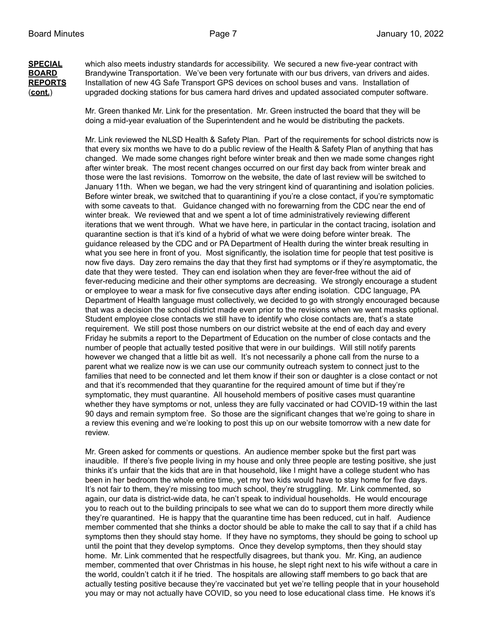**SPECIAL** which also meets industry standards for accessibility. We secured a new five-year contract with **BOARD** Brandywine Transportation. We've been very fortunate with our bus drivers, van drivers and aides. **REPORTS** Installation of new 4G Safe Transport GPS devices on school buses and vans. Installation of (**cont.**) upgraded docking stations for bus camera hard drives and updated associated computer software.

> Mr. Green thanked Mr. Link for the presentation. Mr. Green instructed the board that they will be doing a mid-year evaluation of the Superintendent and he would be distributing the packets.

Mr. Link reviewed the NLSD Health & Safety Plan. Part of the requirements for school districts now is that every six months we have to do a public review of the Health & Safety Plan of anything that has changed. We made some changes right before winter break and then we made some changes right after winter break. The most recent changes occurred on our first day back from winter break and those were the last revisions. Tomorrow on the website, the date of last review will be switched to January 11th. When we began, we had the very stringent kind of quarantining and isolation policies. Before winter break, we switched that to quarantining if you're a close contact, if you're symptomatic with some caveats to that. Guidance changed with no forewarning from the CDC near the end of winter break. We reviewed that and we spent a lot of time administratively reviewing different iterations that we went through. What we have here, in particular in the contact tracing, isolation and quarantine section is that it's kind of a hybrid of what we were doing before winter break. The guidance released by the CDC and or PA Department of Health during the winter break resulting in what you see here in front of you. Most significantly, the isolation time for people that test positive is now five days. Day zero remains the day that they first had symptoms or if they're asymptomatic, the date that they were tested. They can end isolation when they are fever-free without the aid of fever-reducing medicine and their other symptoms are decreasing. We strongly encourage a student or employee to wear a mask for five consecutive days after ending isolation. CDC language, PA Department of Health language must collectively, we decided to go with strongly encouraged because that was a decision the school district made even prior to the revisions when we went masks optional. Student employee close contacts we still have to identify who close contacts are, that's a state requirement. We still post those numbers on our district website at the end of each day and every Friday he submits a report to the Department of Education on the number of close contacts and the number of people that actually tested positive that were in our buildings. Will still notify parents however we changed that a little bit as well. It's not necessarily a phone call from the nurse to a parent what we realize now is we can use our community outreach system to connect just to the families that need to be connected and let them know if their son or daughter is a close contact or not and that it's recommended that they quarantine for the required amount of time but if they're symptomatic, they must quarantine. All household members of positive cases must quarantine whether they have symptoms or not, unless they are fully vaccinated or had COVID-19 within the last 90 days and remain symptom free. So those are the significant changes that we're going to share in a review this evening and we're looking to post this up on our website tomorrow with a new date for review.

Mr. Green asked for comments or questions. An audience member spoke but the first part was inaudible. If there's five people living in my house and only three people are testing positive, she just thinks it's unfair that the kids that are in that household, like I might have a college student who has been in her bedroom the whole entire time, yet my two kids would have to stay home for five days. It's not fair to them, they're missing too much school, they're struggling. Mr. Link commented, so again, our data is district-wide data, he can't speak to individual households. He would encourage you to reach out to the building principals to see what we can do to support them more directly while they're quarantined. He is happy that the quarantine time has been reduced, cut in half. Audience member commented that she thinks a doctor should be able to make the call to say that if a child has symptoms then they should stay home. If they have no symptoms, they should be going to school up until the point that they develop symptoms. Once they develop symptoms, then they should stay home. Mr. Link commented that he respectfully disagrees, but thank you. Mr. King, an audience member, commented that over Christmas in his house, he slept right next to his wife without a care in the world, couldn't catch it if he tried. The hospitals are allowing staff members to go back that are actually testing positive because they're vaccinated but yet we're telling people that in your household you may or may not actually have COVID, so you need to lose educational class time. He knows it's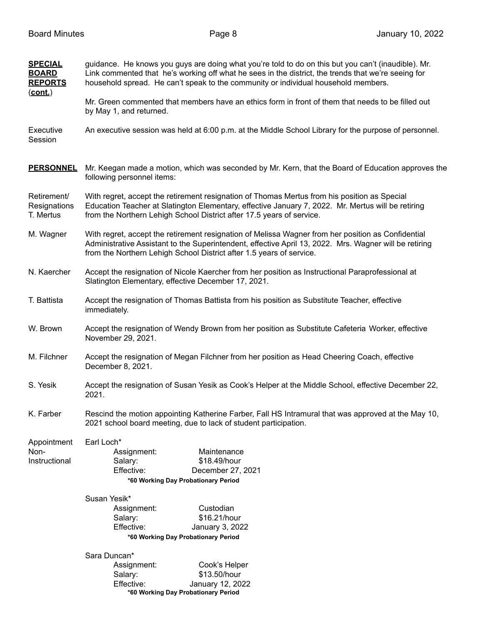| <b>SPECIAL</b><br><b>BOARD</b><br><b>REPORTS</b><br>$(cont.)$ | guidance. He knows you guys are doing what you're told to do on this but you can't (inaudible). Mr.<br>Link commented that he's working off what he sees in the district, the trends that we're seeing for<br>household spread. He can't speak to the community or individual household members. |  |  |  |
|---------------------------------------------------------------|--------------------------------------------------------------------------------------------------------------------------------------------------------------------------------------------------------------------------------------------------------------------------------------------------|--|--|--|
|                                                               | Mr. Green commented that members have an ethics form in front of them that needs to be filled out<br>by May 1, and returned.                                                                                                                                                                     |  |  |  |
| Executive<br>Session                                          | An executive session was held at 6:00 p.m. at the Middle School Library for the purpose of personnel.                                                                                                                                                                                            |  |  |  |
| <b>PERSONNEL</b>                                              | Mr. Keegan made a motion, which was seconded by Mr. Kern, that the Board of Education approves the<br>following personnel items:                                                                                                                                                                 |  |  |  |
| Retirement/<br>Resignations<br>T. Mertus                      | With regret, accept the retirement resignation of Thomas Mertus from his position as Special<br>Education Teacher at Slatington Elementary, effective January 7, 2022. Mr. Mertus will be retiring<br>from the Northern Lehigh School District after 17.5 years of service.                      |  |  |  |
| M. Wagner                                                     | With regret, accept the retirement resignation of Melissa Wagner from her position as Confidential<br>Administrative Assistant to the Superintendent, effective April 13, 2022. Mrs. Wagner will be retiring<br>from the Northern Lehigh School District after 1.5 years of service.             |  |  |  |
| N. Kaercher                                                   | Accept the resignation of Nicole Kaercher from her position as Instructional Paraprofessional at<br>Slatington Elementary, effective December 17, 2021.                                                                                                                                          |  |  |  |
| T. Battista                                                   | Accept the resignation of Thomas Battista from his position as Substitute Teacher, effective<br>immediately.                                                                                                                                                                                     |  |  |  |
| W. Brown                                                      | Accept the resignation of Wendy Brown from her position as Substitute Cafeteria Worker, effective<br>November 29, 2021.                                                                                                                                                                          |  |  |  |
| M. Filchner                                                   | Accept the resignation of Megan Filchner from her position as Head Cheering Coach, effective<br>December 8, 2021.                                                                                                                                                                                |  |  |  |
| S. Yesik                                                      | Accept the resignation of Susan Yesik as Cook's Helper at the Middle School, effective December 22,<br>2021.                                                                                                                                                                                     |  |  |  |
| K. Farber                                                     | Rescind the motion appointing Katherine Farber, Fall HS Intramural that was approved at the May 10,<br>2021 school board meeting, due to lack of student participation.                                                                                                                          |  |  |  |
| Appointment                                                   | Earl Loch*                                                                                                                                                                                                                                                                                       |  |  |  |
| Non-<br>Instructional                                         | Assignment:<br>Maintenance<br>\$18.49/hour<br>Salary:                                                                                                                                                                                                                                            |  |  |  |
|                                                               | Effective:<br>December 27, 2021                                                                                                                                                                                                                                                                  |  |  |  |
|                                                               | *60 Working Day Probationary Period                                                                                                                                                                                                                                                              |  |  |  |
|                                                               | Susan Yesik*                                                                                                                                                                                                                                                                                     |  |  |  |
|                                                               | Custodian<br>Assignment:                                                                                                                                                                                                                                                                         |  |  |  |
|                                                               | \$16.21/hour<br>Salary:<br>Effective:<br>January 3, 2022                                                                                                                                                                                                                                         |  |  |  |
|                                                               | *60 Working Day Probationary Period                                                                                                                                                                                                                                                              |  |  |  |
|                                                               | Sara Duncan*                                                                                                                                                                                                                                                                                     |  |  |  |
|                                                               | Cook's Helper<br>Assignment:                                                                                                                                                                                                                                                                     |  |  |  |
|                                                               | \$13.50/hour<br>Salary:                                                                                                                                                                                                                                                                          |  |  |  |
|                                                               | January 12, 2022<br>Effective:<br>*60 Working Day Probationary Period                                                                                                                                                                                                                            |  |  |  |
|                                                               |                                                                                                                                                                                                                                                                                                  |  |  |  |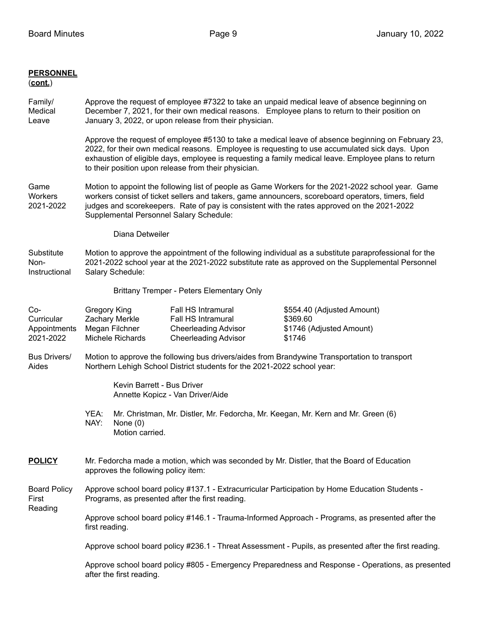## **PERSONNEL**

## (**cont.**)

- Family/ Approve the request of employee #7322 to take an unpaid medical leave of absence beginning on Medical December 7, 2021, for their own medical reasons. Employee plans to return to their position on Leave January 3, 2022, or upon release from their physician.
	- Approve the request of employee #5130 to take a medical leave of absence beginning on February 23, 2022, for their own medical reasons. Employee is requesting to use accumulated sick days. Upon exhaustion of eligible days, employee is requesting a family medical leave. Employee plans to return to their position upon release from their physician.
- Game Motion to appoint the following list of people as Game Workers for the 2021-2022 school year. Game Workers workers consist of ticket sellers and takers, game announcers, scoreboard operators, timers, field 2021-2022 judges and scorekeepers. Rate of pay is consistent with the rates approved on the 2021-2022 Supplemental Personnel Salary Schedule:
	- Diana Detweiler

## Substitute Motion to approve the appointment of the following individual as a substitute paraprofessional for the Non- 2021-2022 school year at the 2021-2022 substitute rate as approved on the Supplemental Personnel Instructional Salary Schedule:

Brittany Tremper - Peters Elementary Only

| Co-<br>Curricular<br>Appointments<br>2021-2022 | Gregory King<br>Zachary Merkle<br>Megan Filchner<br>Michele Richards                                                                                                     |                               | Fall HS Intramural<br>Fall HS Intramural<br><b>Cheerleading Advisor</b><br><b>Cheerleading Advisor</b> | \$554.40 (Adjusted Amount)<br>\$369.60<br>\$1746 (Adjusted Amount)<br>\$1746                      |  |
|------------------------------------------------|--------------------------------------------------------------------------------------------------------------------------------------------------------------------------|-------------------------------|--------------------------------------------------------------------------------------------------------|---------------------------------------------------------------------------------------------------|--|
| Bus Drivers/<br>Aides                          | Motion to approve the following bus drivers/aides from Brandywine Transportation to transport<br>Northern Lehigh School District students for the 2021-2022 school year: |                               |                                                                                                        |                                                                                                   |  |
|                                                |                                                                                                                                                                          | Kevin Barrett - Bus Driver    | Annette Kopicz - Van Driver/Aide                                                                       |                                                                                                   |  |
|                                                | YEA:<br>NAY:                                                                                                                                                             | None $(0)$<br>Motion carried. |                                                                                                        | Mr. Christman, Mr. Distler, Mr. Fedorcha, Mr. Keegan, Mr. Kern and Mr. Green (6)                  |  |
| <b>POLICY</b>                                  | Mr. Fedorcha made a motion, which was seconded by Mr. Distler, that the Board of Education<br>approves the following policy item:                                        |                               |                                                                                                        |                                                                                                   |  |
| <b>Board Policy</b><br>First<br>Reading        | Approve school board policy #137.1 - Extracurricular Participation by Home Education Students -<br>Programs, as presented after the first reading.                       |                               |                                                                                                        |                                                                                                   |  |
|                                                | Approve school board policy #146.1 - Trauma-Informed Approach - Programs, as presented after the<br>first reading.                                                       |                               |                                                                                                        |                                                                                                   |  |
|                                                | Approve school board policy #236.1 - Threat Assessment - Pupils, as presented after the first reading.                                                                   |                               |                                                                                                        |                                                                                                   |  |
|                                                |                                                                                                                                                                          | after the first reading.      |                                                                                                        | Approve school board policy #805 - Emergency Preparedness and Response - Operations, as presented |  |
|                                                |                                                                                                                                                                          |                               |                                                                                                        |                                                                                                   |  |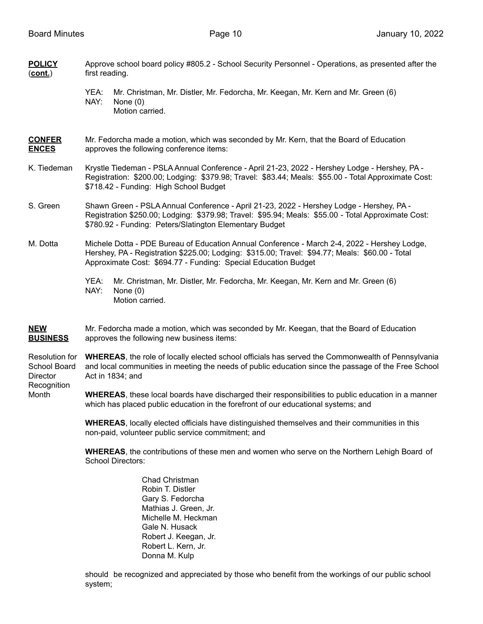| <b>POLICY</b><br>$(cont.)$     | Approve school board policy #805.2 - School Security Personnel - Operations, as presented after the<br>first reading.                                                                                                                                             |  |  |  |
|--------------------------------|-------------------------------------------------------------------------------------------------------------------------------------------------------------------------------------------------------------------------------------------------------------------|--|--|--|
|                                | Mr. Christman, Mr. Distler, Mr. Fedorcha, Mr. Keegan, Mr. Kern and Mr. Green (6)<br>YEA:<br>NAY:<br>None $(0)$<br>Motion carried.                                                                                                                                 |  |  |  |
| <b>CONFER</b><br><b>ENCES</b>  | Mr. Fedorcha made a motion, which was seconded by Mr. Kern, that the Board of Education<br>approves the following conference items:                                                                                                                               |  |  |  |
| K. Tiedeman                    | Krystle Tiedeman - PSLA Annual Conference - April 21-23, 2022 - Hershey Lodge - Hershey, PA -<br>Registration: \$200.00; Lodging: \$379.98; Travel: \$83.44; Meals: \$55.00 - Total Approximate Cost:<br>\$718.42 - Funding: High School Budget                   |  |  |  |
| S. Green                       | Shawn Green - PSLA Annual Conference - April 21-23, 2022 - Hershey Lodge - Hershey, PA -<br>Registration \$250.00; Lodging: \$379.98; Travel: \$95.94; Meals: \$55.00 - Total Approximate Cost:<br>\$780.92 - Funding: Peters/Slatington Elementary Budget        |  |  |  |
| M. Dotta                       | Michele Dotta - PDE Bureau of Education Annual Conference - March 2-4, 2022 - Hershey Lodge,<br>Hershey, PA - Registration \$225.00; Lodging: \$315.00; Travel: \$94.77; Meals: \$60.00 - Total<br>Approximate Cost: \$694.77 - Funding: Special Education Budget |  |  |  |
|                                | YEA:<br>Mr. Christman, Mr. Distler, Mr. Fedorcha, Mr. Keegan, Mr. Kern and Mr. Green (6)<br>NAY:<br>None $(0)$<br>Motion carried.                                                                                                                                 |  |  |  |
| <b>NEW</b><br><b>BUSINESS</b>  | Mr. Fedorcha made a motion, which was seconded by Mr. Keegan, that the Board of Education<br>approves the following new business items:                                                                                                                           |  |  |  |
| Resolution for<br>School Board | <b>WHEREAS</b> , the role of locally elected school officials has served the Commonwealth of Pennsylvania<br>and local communities in meeting the needs of public education since the passage of the Free School                                                  |  |  |  |

Director Act in 1834; and

**Recognition** Month **WHEREAS**, these local boards have discharged their responsibilities to public education in a manner

which has placed public education in the forefront of our educational systems; and

**WHEREAS**, locally elected officials have distinguished themselves and their communities in this non-paid, volunteer public service commitment; and

**WHEREAS**, the contributions of these men and women who serve on the Northern Lehigh Board of School Directors:

> Chad Christman Robin T. Distler Gary S. Fedorcha Mathias J. Green, Jr. Michelle M. Heckman Gale N. Husack Robert J. Keegan, Jr. Robert L. Kern, Jr. Donna M. Kulp

should be recognized and appreciated by those who benefit from the workings of our public school system;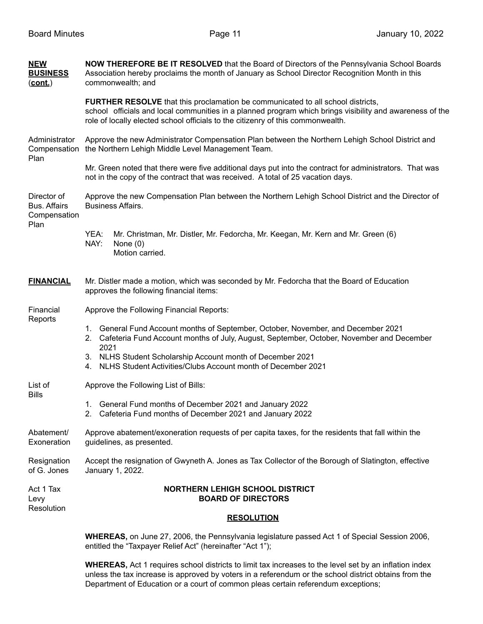| Resignation<br>of G. Jones                                 | Accept the resignation of Gwyneth A. Jones as Tax Collector of the Borough of Slatington, effective<br>January 1, 2022.                                                                                                                                                               |  |  |  |
|------------------------------------------------------------|---------------------------------------------------------------------------------------------------------------------------------------------------------------------------------------------------------------------------------------------------------------------------------------|--|--|--|
| Abatement/<br>Exoneration                                  | Approve abatement/exoneration requests of per capita taxes, for the residents that fall within the<br>guidelines, as presented.                                                                                                                                                       |  |  |  |
| <b>Bills</b>                                               | 1. General Fund months of December 2021 and January 2022<br>2. Cafeteria Fund months of December 2021 and January 2022                                                                                                                                                                |  |  |  |
| List of                                                    | Approve the Following List of Bills:                                                                                                                                                                                                                                                  |  |  |  |
|                                                            | 3. NLHS Student Scholarship Account month of December 2021<br>NLHS Student Activities/Clubs Account month of December 2021<br>4.                                                                                                                                                      |  |  |  |
|                                                            | 1. General Fund Account months of September, October, November, and December 2021<br>2. Cafeteria Fund Account months of July, August, September, October, November and December<br>2021                                                                                              |  |  |  |
| Financial<br>Reports                                       | Approve the Following Financial Reports:                                                                                                                                                                                                                                              |  |  |  |
| <b>FINANCIAL</b>                                           | Mr. Distler made a motion, which was seconded by Mr. Fedorcha that the Board of Education<br>approves the following financial items:                                                                                                                                                  |  |  |  |
|                                                            | YEA:<br>Mr. Christman, Mr. Distler, Mr. Fedorcha, Mr. Keegan, Mr. Kern and Mr. Green (6)<br>NAY:<br>None $(0)$<br>Motion carried.                                                                                                                                                     |  |  |  |
| Director of<br><b>Bus. Affairs</b><br>Compensation<br>Plan | Approve the new Compensation Plan between the Northern Lehigh School District and the Director of<br><b>Business Affairs.</b>                                                                                                                                                         |  |  |  |
|                                                            | Mr. Green noted that there were five additional days put into the contract for administrators. That was<br>not in the copy of the contract that was received. A total of 25 vacation days.                                                                                            |  |  |  |
| Administrator<br>Plan                                      | Approve the new Administrator Compensation Plan between the Northern Lehigh School District and<br>Compensation the Northern Lehigh Middle Level Management Team.                                                                                                                     |  |  |  |
|                                                            | <b>FURTHER RESOLVE</b> that this proclamation be communicated to all school districts,<br>school officials and local communities in a planned program which brings visibility and awareness of the<br>role of locally elected school officials to the citizenry of this commonwealth. |  |  |  |
| <b>NEW</b><br><b>BUSINESS</b><br>(cont.)                   | NOW THEREFORE BE IT RESOLVED that the Board of Directors of the Pennsylvania School Boards<br>Association hereby proclaims the month of January as School Director Recognition Month in this<br>commonwealth; and                                                                     |  |  |  |

entitled the "Taxpayer Relief Act" (hereinafter "Act 1");

**WHEREAS,** Act 1 requires school districts to limit tax increases to the level set by an inflation index unless the tax increase is approved by voters in a referendum or the school district obtains from the Department of Education or a court of common pleas certain referendum exceptions;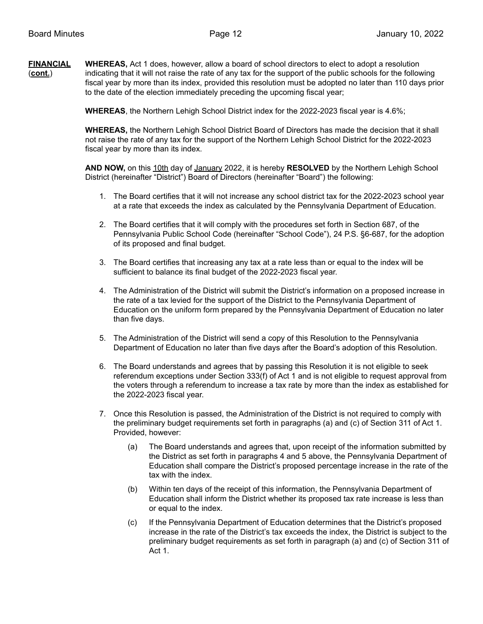**FINANCIAL WHEREAS,** Act 1 does, however, allow a board of school directors to elect to adopt a resolution (**cont.**) indicating that it will not raise the rate of any tax for the support of the public schools for the following fiscal year by more than its index, provided this resolution must be adopted no later than 110 days prior to the date of the election immediately preceding the upcoming fiscal year;

**WHEREAS**, the Northern Lehigh School District index for the 2022-2023 fiscal year is 4.6%;

**WHEREAS,** the Northern Lehigh School District Board of Directors has made the decision that it shall not raise the rate of any tax for the support of the Northern Lehigh School District for the 2022-2023 fiscal year by more than its index.

**AND NOW,** on this 10th day of January 2022, it is hereby **RESOLVED** by the Northern Lehigh School District (hereinafter "District") Board of Directors (hereinafter "Board") the following:

- 1. The Board certifies that it will not increase any school district tax for the 2022-2023 school year at a rate that exceeds the index as calculated by the Pennsylvania Department of Education.
- 2. The Board certifies that it will comply with the procedures set forth in Section 687, of the Pennsylvania Public School Code (hereinafter "School Code"), 24 P.S. §6-687, for the adoption of its proposed and final budget.
- 3. The Board certifies that increasing any tax at a rate less than or equal to the index will be sufficient to balance its final budget of the 2022-2023 fiscal year.
- 4. The Administration of the District will submit the District's information on a proposed increase in the rate of a tax levied for the support of the District to the Pennsylvania Department of Education on the uniform form prepared by the Pennsylvania Department of Education no later than five days.
- 5. The Administration of the District will send a copy of this Resolution to the Pennsylvania Department of Education no later than five days after the Board's adoption of this Resolution.
- 6. The Board understands and agrees that by passing this Resolution it is not eligible to seek referendum exceptions under Section 333(f) of Act 1 and is not eligible to request approval from the voters through a referendum to increase a tax rate by more than the index as established for the 2022-2023 fiscal year.
- 7. Once this Resolution is passed, the Administration of the District is not required to comply with the preliminary budget requirements set forth in paragraphs (a) and (c) of Section 311 of Act 1. Provided, however:
	- (a) The Board understands and agrees that, upon receipt of the information submitted by the District as set forth in paragraphs 4 and 5 above, the Pennsylvania Department of Education shall compare the District's proposed percentage increase in the rate of the tax with the index.
	- (b) Within ten days of the receipt of this information, the Pennsylvania Department of Education shall inform the District whether its proposed tax rate increase is less than or equal to the index.
	- (c) If the Pennsylvania Department of Education determines that the District's proposed increase in the rate of the District's tax exceeds the index, the District is subject to the preliminary budget requirements as set forth in paragraph (a) and (c) of Section 311 of Act 1.